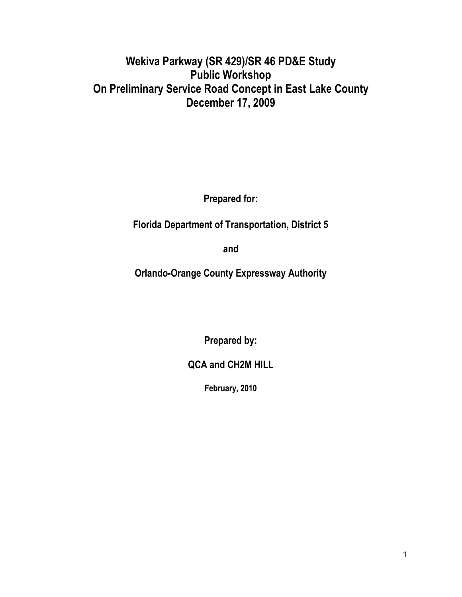# **Wekiva Parkway (SR 429)/SR 46 PD&E Study Public Workshop On Preliminary Service Road Concept in East Lake County December 17, 2009**

**Prepared for:**

**Florida Department of Transportation, District 5**

**and**

**Orlando-Orange County Expressway Authority**

**Prepared by:**

**QCA and CH2M HILL** 

**February, 2010**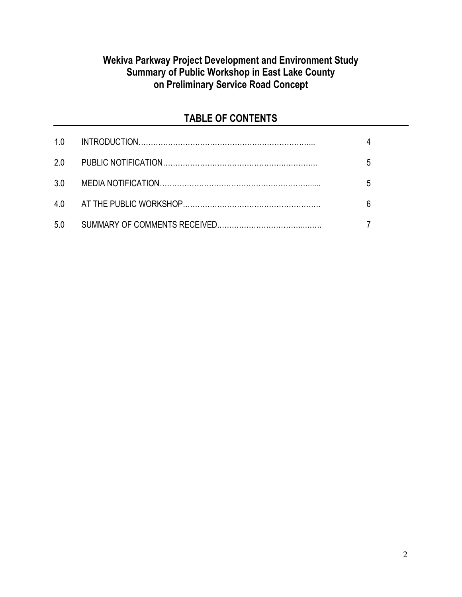# **Wekiva Parkway Project Development and Environment Study Summary of Public Workshop in East Lake County on Preliminary Service Road Concept**

# **TABLE OF CONTENTS**

| 1.0 |   |
|-----|---|
| 2.0 | 5 |
| 3.0 | 5 |
|     |   |
| 5.0 |   |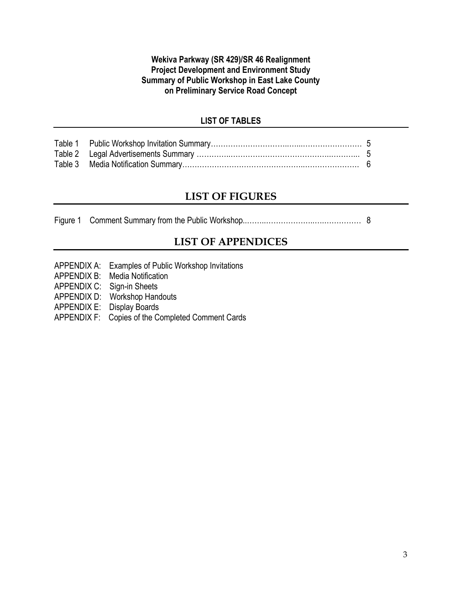### **Wekiva Parkway (SR 429)/SR 46 Realignment Project Development and Environment Study Summary of Public Workshop in East Lake County on Preliminary Service Road Concept**

### **LIST OF TABLES**

# **LIST OF FIGURES**

Figure 1 Comment Summary from the Public Workshop..……..………………..….…………… 8

# **LIST OF APPENDICES**

- APPENDIX A: Examples of Public Workshop Invitations
- APPENDIX B: Media Notification
- APPENDIX C: Sign-in Sheets
- APPENDIX D: Workshop Handouts
- APPENDIX E: Display Boards
- APPENDIX F: Copies of the Completed Comment Cards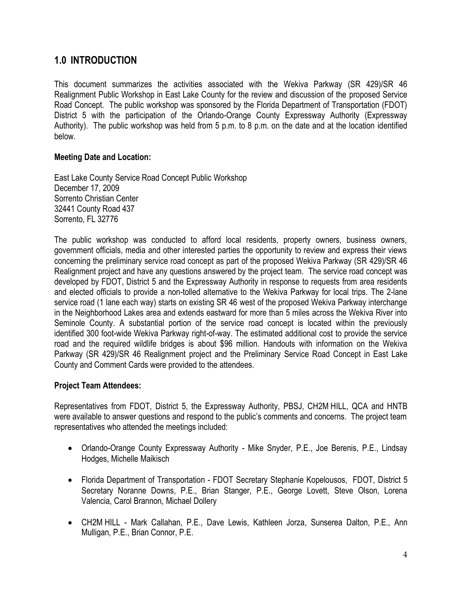# **1.0 INTRODUCTION**

This document summarizes the activities associated with the Wekiva Parkway (SR 429)/SR 46 Realignment Public Workshop in East Lake County for the review and discussion of the proposed Service Road Concept. The public workshop was sponsored by the Florida Department of Transportation (FDOT) District 5 with the participation of the Orlando-Orange County Expressway Authority (Expressway Authority). The public workshop was held from 5 p.m. to 8 p.m. on the date and at the location identified below.

### **Meeting Date and Location:**

East Lake County Service Road Concept Public Workshop December 17, 2009 Sorrento Christian Center 32441 County Road 437 Sorrento, FL 32776

The public workshop was conducted to afford local residents, property owners, business owners, government officials, media and other interested parties the opportunity to review and express their views concerning the preliminary service road concept as part of the proposed Wekiva Parkway (SR 429)/SR 46 Realignment project and have any questions answered by the project team. The service road concept was developed by FDOT, District 5 and the Expressway Authority in response to requests from area residents and elected officials to provide a non-tolled alternative to the Wekiva Parkway for local trips. The 2-lane service road (1 lane each way) starts on existing SR 46 west of the proposed Wekiva Parkway interchange in the Neighborhood Lakes area and extends eastward for more than 5 miles across the Wekiva River into Seminole County. A substantial portion of the service road concept is located within the previously identified 300 foot-wide Wekiva Parkway right-of-way. The estimated additional cost to provide the service road and the required wildlife bridges is about \$96 million. Handouts with information on the Wekiva Parkway (SR 429)/SR 46 Realignment project and the Preliminary Service Road Concept in East Lake County and Comment Cards were provided to the attendees.

## **Project Team Attendees:**

Representatives from FDOT, District 5, the Expressway Authority, PBSJ, CH2M HILL, QCA and HNTB were available to answer questions and respond to the public's comments and concerns. The project team representatives who attended the meetings included:

- Orlando-Orange County Expressway Authority Mike Snyder, P.E., Joe Berenis, P.E., Lindsay Hodges, Michelle Maikisch
- Florida Department of Transportation FDOT Secretary Stephanie Kopelousos, FDOT, District 5 Secretary Noranne Downs, P.E., Brian Stanger, P.E., George Lovett, Steve Olson, Lorena Valencia, Carol Brannon, Michael Dollery
- CH2M HILL Mark Callahan, P.E., Dave Lewis, Kathleen Jorza, Sunserea Dalton, P.E., Ann Mulligan, P.E., Brian Connor, P.E.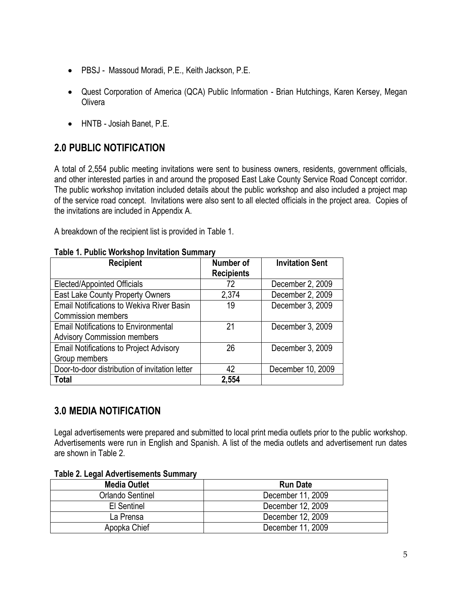- PBSJ Massoud Moradi, P.E., Keith Jackson, P.E.
- Quest Corporation of America (QCA) Public Information Brian Hutchings, Karen Kersey, Megan **Olivera**
- HNTB Josiah Banet, P.E.

# **2.0 PUBLIC NOTIFICATION**

A total of 2,554 public meeting invitations were sent to business owners, residents, government officials, and other interested parties in and around the proposed East Lake County Service Road Concept corridor. The public workshop invitation included details about the public workshop and also included a project map of the service road concept. Invitations were also sent to all elected officials in the project area. Copies of the invitations are included in Appendix A.

A breakdown of the recipient list is provided in Table 1.

| <b>Recipient</b>                                 | Number of         | <b>Invitation Sent</b> |
|--------------------------------------------------|-------------------|------------------------|
|                                                  | <b>Recipients</b> |                        |
| <b>Elected/Appointed Officials</b>               | 72                | December 2, 2009       |
| East Lake County Property Owners                 | 2,374             | December 2, 2009       |
| <b>Email Notifications to Wekiva River Basin</b> | 19                | December 3, 2009       |
| <b>Commission members</b>                        |                   |                        |
| <b>Email Notifications to Environmental</b>      | 21                | December 3, 2009       |
| <b>Advisory Commission members</b>               |                   |                        |
| <b>Email Notifications to Project Advisory</b>   | 26                | December 3, 2009       |
| Group members                                    |                   |                        |
| Door-to-door distribution of invitation letter   | 42                | December 10, 2009      |
| Total                                            | 2,554             |                        |

#### **Table 1. Public Workshop Invitation Summary**

# **3.0 MEDIA NOTIFICATION**

Legal advertisements were prepared and submitted to local print media outlets prior to the public workshop. Advertisements were run in English and Spanish. A list of the media outlets and advertisement run dates are shown in Table 2.

| <b>Media Outlet</b> | <b>Run Date</b>   |  |
|---------------------|-------------------|--|
| Orlando Sentinel    | December 11, 2009 |  |
| El Sentinel         | December 12, 2009 |  |
| La Prensa           | December 12, 2009 |  |
| Apopka Chief        | December 11, 2009 |  |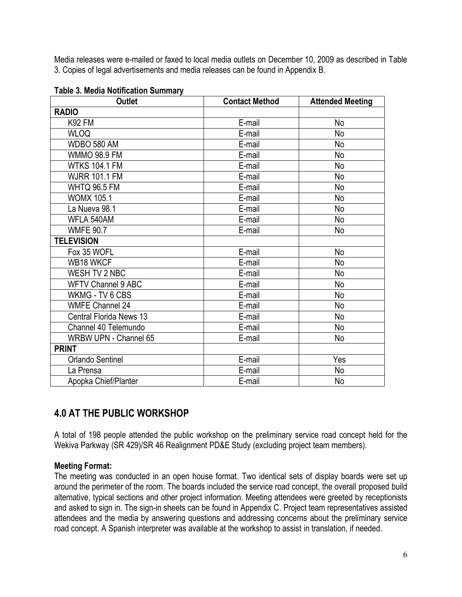Media releases were e-mailed or faxed to local media outlets on December 10, 2009 as described in Table 3. Copies of legal advertisements and media releases can be found in Appendix B.

| <b>Outlet</b>                  | <b>Contact Method</b> | <b>Attended Meeting</b> |
|--------------------------------|-----------------------|-------------------------|
| <b>RADIO</b>                   |                       |                         |
| <b>K92 FM</b>                  | E-mail                | No                      |
| <b>WLOQ</b>                    | E-mail                | <b>No</b>               |
| WDBO 580 AM                    | E-mail                | No                      |
| <b>WMMO 98.9 FM</b>            | E-mail                | No                      |
| <b>WTKS 104.1 FM</b>           | E-mail                | No                      |
| <b>WJRR 101.1 FM</b>           | E-mail                | <b>No</b>               |
| <b>WHTQ 96.5 FM</b>            | E-mail                | No                      |
| <b>WOMX 105.1</b>              | E-mail                | <b>No</b>               |
| La Nueva 98.1                  | E-mail                | No                      |
| WFLA 540AM                     | E-mail                | <b>No</b>               |
| <b>WMFE 90.7</b>               | E-mail                | No                      |
| <b>TELEVISION</b>              |                       |                         |
| Fox 35 WOFL                    | E-mail                | <b>No</b>               |
| WB18 WKCF                      | E-mail                | N <sub>o</sub>          |
| WESH TV 2 NBC                  | E-mail                | No                      |
| <b>WFTV Channel 9 ABC</b>      | E-mail                | <b>No</b>               |
| WKMG - TV 6 CBS                | E-mail                | No                      |
| <b>WMFE Channel 24</b>         | E-mail                | <b>No</b>               |
| <b>Central Florida News 13</b> | E-mail                | No                      |
| Channel 40 Telemundo           | E-mail                | No                      |
| WRBW UPN - Channel 65          | E-mail                | No                      |
| <b>PRINT</b>                   |                       |                         |
| <b>Orlando Sentinel</b>        | E-mail                | Yes                     |
| La Prensa                      | E-mail                | No                      |
| Apopka Chief/Planter           | E-mail                | N <sub>o</sub>          |

#### **Table 3. Media Notification Summary**

# **4.0 AT THE PUBLIC WORKSHOP**

A total of 198 people attended the public workshop on the preliminary service road concept held for the Wekiva Parkway (SR 429)/SR 46 Realignment PD&E Study (excluding project team members).

### **Meeting Format:**

The meeting was conducted in an open house format. Two identical sets of display boards were set up around the perimeter of the room. The boards included the service road concept, the overall proposed build alternative, typical sections and other project information. Meeting attendees were greeted by receptionists and asked to sign in. The sign-in sheets can be found in Appendix C. Project team representatives assisted attendees and the media by answering questions and addressing concerns about the preliminary service road concept. A Spanish interpreter was available at the workshop to assist in translation, if needed.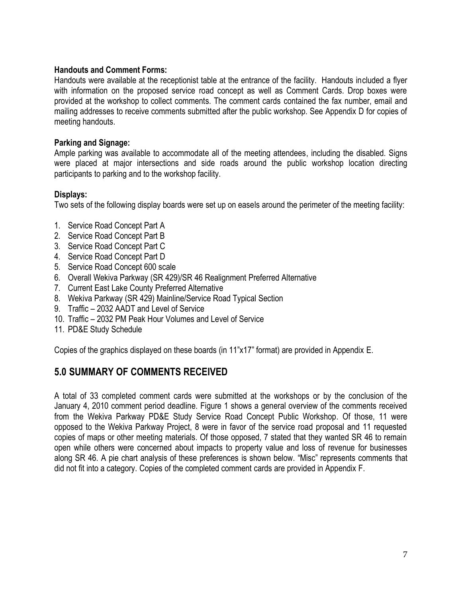### **Handouts and Comment Forms:**

Handouts were available at the receptionist table at the entrance of the facility. Handouts included a flyer with information on the proposed service road concept as well as Comment Cards. Drop boxes were provided at the workshop to collect comments. The comment cards contained the fax number, email and mailing addresses to receive comments submitted after the public workshop. See Appendix D for copies of meeting handouts.

### **Parking and Signage:**

Ample parking was available to accommodate all of the meeting attendees, including the disabled. Signs were placed at major intersections and side roads around the public workshop location directing participants to parking and to the workshop facility.

### **Displays:**

Two sets of the following display boards were set up on easels around the perimeter of the meeting facility:

- 1. Service Road Concept Part A
- 2. Service Road Concept Part B
- 3. Service Road Concept Part C
- 4. Service Road Concept Part D
- 5. Service Road Concept 600 scale
- 6. Overall Wekiva Parkway (SR 429)/SR 46 Realignment Preferred Alternative
- 7. Current East Lake County Preferred Alternative
- 8. Wekiva Parkway (SR 429) Mainline/Service Road Typical Section
- 9. Traffic 2032 AADT and Level of Service
- 10. Traffic 2032 PM Peak Hour Volumes and Level of Service
- 11. PD&E Study Schedule

Copies of the graphics displayed on these boards (in 11"x17" format) are provided in Appendix E.

# **5.0 SUMMARY OF COMMENTS RECEIVED**

A total of 33 completed comment cards were submitted at the workshops or by the conclusion of the January 4, 2010 comment period deadline. Figure 1 shows a general overview of the comments received from the Wekiva Parkway PD&E Study Service Road Concept Public Workshop. Of those, 11 were opposed to the Wekiva Parkway Project, 8 were in favor of the service road proposal and 11 requested copies of maps or other meeting materials. Of those opposed, 7 stated that they wanted SR 46 to remain open while others were concerned about impacts to property value and loss of revenue for businesses along SR 46. A pie chart analysis of these preferences is shown below. "Misc" represents comments that did not fit into a category. Copies of the completed comment cards are provided in Appendix F.